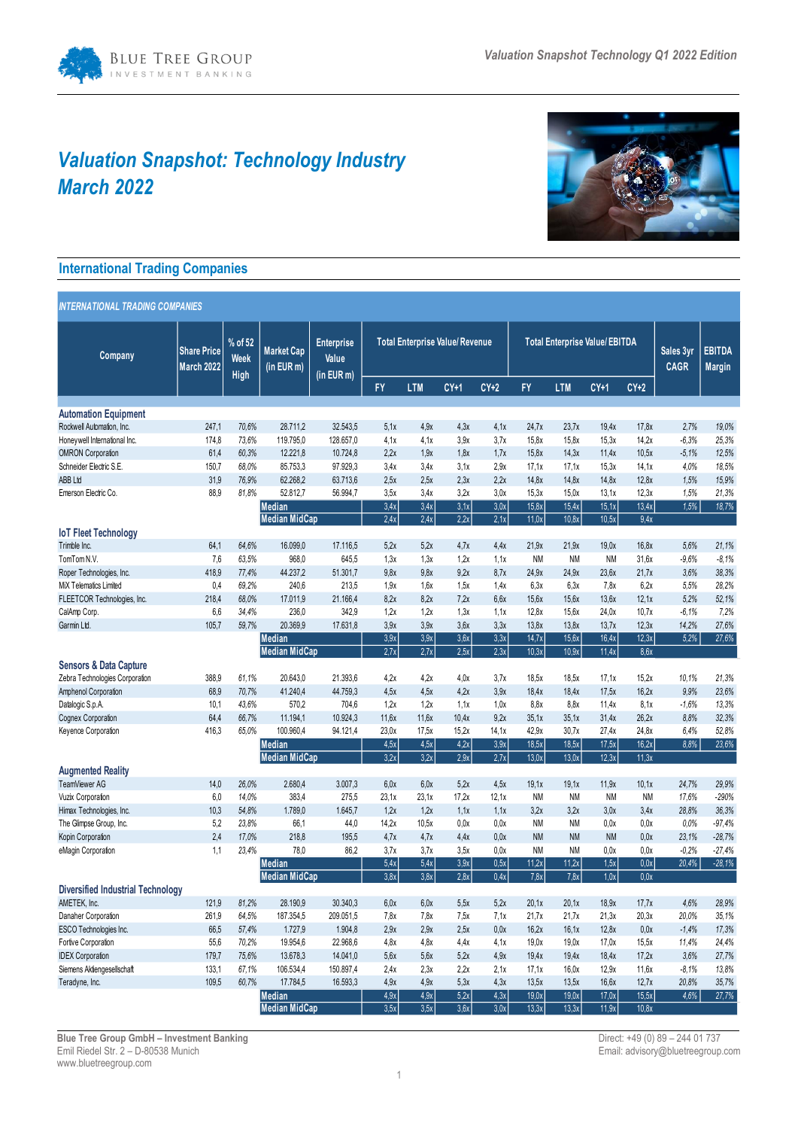

# *Valuation Snapshot: Technology Industry March 2022*



## **International Trading Companies**

| <b>INTERNATIONAL TRADING COMPANIES</b>   |                                  |                                |                                       |                                          |                                        |              |              |              |                                       |                |                |                |                          |                                |
|------------------------------------------|----------------------------------|--------------------------------|---------------------------------------|------------------------------------------|----------------------------------------|--------------|--------------|--------------|---------------------------------------|----------------|----------------|----------------|--------------------------|--------------------------------|
| Company                                  | <b>Share Price</b><br>March 2022 | % of 52<br>Week<br><b>High</b> | <b>Market Cap</b><br>(in EUR m)       | <b>Enterprise</b><br>Value<br>(in EUR m) | <b>Total Enterprise Value/ Revenue</b> |              |              |              | <b>Total Enterprise Value/ EBITDA</b> |                |                |                | Sales 3yr<br><b>CAGR</b> | <b>EBITDA</b><br><b>Margin</b> |
|                                          |                                  |                                |                                       |                                          | <b>FY</b>                              | <b>LTM</b>   | $CY+1$       | $CY+2$       | FY                                    | <b>LTM</b>     | $CY+1$         | $CY+2$         |                          |                                |
|                                          |                                  |                                |                                       |                                          |                                        |              |              |              |                                       |                |                |                |                          |                                |
| <b>Automation Equipment</b>              |                                  |                                |                                       |                                          |                                        |              |              |              |                                       |                |                |                |                          |                                |
| Rockwell Automation, Inc.                | 247,1                            | 70,6%                          | 28.711,2                              | 32.543,5                                 | 5.1x                                   | 4.9x         | 4.3x         | 4.1x         | 24.7x                                 | 23.7x          | 19.4x          | 17.8x          | 2,7%                     | 19,0%                          |
| Honeywell International Inc.             | 174,8                            | 73.6%                          | 119.795,0                             | 128.657,0                                | 4.1x                                   | 4.1x         | 3.9x         | 3,7x         | 15.8x                                 | 15.8x          | 15.3x          | 14.2x          | $-6,3%$                  | 25,3%                          |
| <b>OMRON Corporation</b>                 | 61,4                             | 60,3%                          | 12.221,8                              | 10.724,8                                 | 2,2x                                   | 1,9x         | 1,8x         | 1,7x         | 15,8x                                 | 14,3x          | 11,4x          | 10,5x          | $-5,1%$                  | 12,5%                          |
| Schneider Electric S.E.                  | 150,7                            | 68.0%                          | 85.753,3                              | 97.929,3                                 | 3.4x                                   | 3.4x         | 3.1x         | 2.9x         | 17.1x                                 | 17,1x          | 15.3x          | 14.1x          | 4.0%                     | 18.5%                          |
| ABB Ltd                                  | 31,9                             | 76.9%                          | 62.268,2                              | 63.713,6                                 | 2,5x                                   | 2.5x         | 2,3x         | 2.2x         | 14.8x                                 | 14.8x          | 14.8x          | 12,8x          | 1,5%                     | 15,9%                          |
| Emerson Electric Co.                     | 88,9                             | 81.8%                          | 52.812,7                              | 56.994,7                                 | 3.5x                                   | 3.4x         | 3.2x         | 3.0x         | 15.3x                                 | 15.0x          | 13.1x          | 12.3x          | 1.5%                     | 21,3%                          |
|                                          |                                  |                                | Median                                |                                          | 3,4x                                   | 3,4x         | 3,1x         | 3,0x         | 15,8x                                 | 15,4x          | 15,1x          | 13,4x          | 1,5%                     | 18,7%                          |
| <b>IoT Fleet Technology</b>              |                                  |                                | <b>Median MidCap</b>                  |                                          | 2,4x                                   | 2,4x         | 2,2x         | 2,1x         | 11,0x                                 | 10,8x          | 10,5x          | 9,4x           |                          |                                |
| Trimble Inc.                             | 64,1                             | 64.6%                          | 16.099,0                              | 17.116,5                                 | 5.2x                                   | 5.2x         | 4.7x         | 4.4x         | 21.9x                                 | 21.9x          | 19.0x          | 16.8x          | 5.6%                     | 21,1%                          |
| TomTom N.V.                              | 7,6                              | 63.5%                          | 968,0                                 | 645,5                                    | 1,3x                                   | 1,3x         | 1,2x         | 1,1x         | <b>NM</b>                             | NM             | <b>NM</b>      | 31.6x          | $-9.6%$                  | $-8,1%$                        |
| Roper Technologies, Inc.                 | 418,9                            | 77,4%                          | 44.237,2                              | 51.301,7                                 | 9,8x                                   | 9,8x         | 9.2x         | 8,7x         | 24,9x                                 | 24.9x          | 23,6x          | 21,7x          | 3.6%                     | 38,3%                          |
| MiX Telematics Limited                   | 0.4                              | 69.2%                          | 240,6                                 | 213,5                                    | 1.9x                                   | 1.6x         | 1.5x         | 1.4x         | 6.3x                                  | 6.3x           | 7.8x           | 6.2x           | 5.5%                     | 28,2%                          |
| FLEETCOR Technologies, Inc.              | 218,4                            | 68,0%                          | 17.011,9                              | 21.166,4                                 | 8,2x                                   | 8,2x         | 7,2x         | 6,6x         | 15,6x                                 | 15,6x          | 13,6x          | 12,1x          | 5,2%                     | 52,1%                          |
| CalAmp Corp.                             | 6,6                              | 34,4%                          | 236,0                                 | 342,9                                    | 1,2x                                   | 1,2x         | 1,3x         | 1.1x         | 12.8x                                 | 15.6x          | 24.0x          | 10.7x          | $-6.1%$                  | 7,2%                           |
| Garmin Ltd.                              | 105,7                            | 59,7%                          | 20.369,9                              | 17.631,8                                 | 3.9x                                   | 3.9x         | 3.6x         | 3.3x         | 13.8x                                 | 13.8x          | 13.7x          | 12.3x          | 14,2%                    | 27.6%                          |
|                                          |                                  |                                | <b>Median</b>                         |                                          | 3,9x                                   | 3,9x         | 3,6x         | 3,3x         | 14,7x                                 | 15,6x          | 16,4x          | 12,3x          | 5,2%                     | 27,6%                          |
|                                          |                                  |                                | <b>Median MidCap</b>                  |                                          | 2,7x                                   | 2,7x         | 2,5x         | 2,3x         | 10,3x                                 | 10,9x          | 11,4x          | 8.6x           |                          |                                |
| <b>Sensors &amp; Data Capture</b>        |                                  |                                |                                       |                                          |                                        |              |              |              |                                       |                |                |                |                          |                                |
| Zebra Technologies Corporation           | 388,9                            | 61.1%                          | 20.643,0                              | 21.393,6                                 | 4,2x                                   | 4,2x         | 4,0x         | 3.7x         | 18,5x                                 | 18,5x          | 17.1x          | 15.2x          | 10.1%                    | 21,3%                          |
| Amphenol Corporation                     | 68,9                             | 70,7%                          | 41.240,4                              | 44.759,3                                 | 4,5x                                   | 4.5x         | 4.2x         | 3.9x         | 18.4x                                 | 18,4x          | 17.5x          | 16.2x          | 9,9%                     | 23,6%                          |
| Datalogic S.p.A.                         | 10,1                             | 43.6%                          | 570,2                                 | 704,6                                    | 1,2x                                   | 1,2x         | 1,1x         | 1,0x         | 8.8x                                  | 8.8x           | 11.4x          | 8.1x           | $-1,6%$                  | 13,3%                          |
| <b>Cognex Corporation</b>                | 64,4                             | 66,7%                          | 11.194,1                              | 10.924,3                                 | 11,6x                                  | 11.6x        | 10,4x        | 9.2x         | 35.1x                                 | 35.1x          | 31.4x          | 26.2x          | 8.8%                     | 32,3%                          |
| Keyence Corporation                      | 416,3                            | 65,0%                          | 100.960,4                             | 94.121,4                                 | 23,0x                                  | 17.5x        | 15.2x        | 14,1x        | 42,9x                                 | 30.7x          | 27.4x          | 24,8x          | 6,4%                     | 52.8%                          |
|                                          |                                  |                                | Median                                |                                          | 4,5x                                   | 4,5x         | 4,2x         | 3,9x         | 18,5x                                 | 18,5x          | 17,5x          | 16,2x          | 8,8%                     | 23,6%                          |
|                                          |                                  |                                | <b>Median MidCap</b>                  |                                          | 3.2x                                   | 3.2x         | 2.9x         | 2,7x         | 13.0x                                 | 13.0x          | 12.3x          | 11.3x          |                          |                                |
| <b>Augmented Reality</b>                 |                                  |                                |                                       |                                          |                                        |              |              |              |                                       |                |                |                |                          |                                |
| TeamViewer AG                            | 14,0                             | 26,0%                          | 2.680,4                               | 3.007,3                                  | 6.0x                                   | 6.0x         | 5.2x         | 4.5x         | 19,1x                                 | 19.1x          | 11.9x          | 10,1x          | 24,7%                    | 29,9%                          |
| Vuzix Corporation                        | 6,0                              | 14.0%                          | 383,4                                 | 275,5                                    | 23,1x                                  | 23,1x        | 17,2x        | 12,1x        | <b>NM</b>                             | NM             | <b>NM</b>      | <b>NM</b>      | 17,6%                    | -290%                          |
| Himax Technologies, Inc.                 | 10,3                             | 54.8%                          | 1.789,0                               | 1.645,7                                  | 1.2x                                   | 1,2x         | 1.1x         | 1.1x         | 3.2x                                  | 3.2x           | 3.0x           | 3.4x           | 28.8%                    | 36,3%                          |
| The Glimpse Group, Inc.                  | 5,2                              | 23,8%                          | 66,1                                  | 44,0                                     | 14,2x                                  | 10,5x        | 0,0x         | 0,0x         | <b>NM</b>                             | NM             | 0,0x           | 0,0x           | 0,0%                     | $-97,4%$                       |
| Kopin Corporation                        | 2,4                              | 17.0%                          | 218,8                                 | 195,5                                    | 4,7x                                   | 4,7x         | 4,4x         | 0.0x         | <b>NM</b>                             | <b>NM</b>      | <b>NM</b>      | 0.0x           | 23,1%                    | $-28,7%$                       |
| eMagin Corporation                       | 1,1                              | 23,4%                          | 78,0                                  | 86,2                                     | 3,7x                                   | 3,7x         | 3,5x         | 0.0x         | <b>NM</b>                             | NM             | 0,0x           | 0.0x           | $-0.2%$                  | $-27,4%$                       |
|                                          |                                  |                                | <b>Median</b>                         |                                          | 5,4x                                   | 5,4x         | 3,9x         | 0,5x         | 11,2x                                 | 11,2x          | 1,5x           | $0,0x$         | 20,4%                    | $-28,1%$                       |
|                                          |                                  |                                | <b>Median MidCap</b>                  |                                          | 3,8x                                   | 3,8x         | 2,8x         | 0.4x         | 7.8x                                  | 7.8x           | 1.0x           | 0.0x           |                          |                                |
| <b>Diversified Industrial Technology</b> |                                  |                                |                                       |                                          |                                        |              |              |              |                                       |                |                |                |                          |                                |
| AMETEK, Inc.                             | 121,9                            | 81,2%                          | 28.190,9                              | 30.340,3                                 | 6,0x                                   | 6,0x         | 5,5x         | 5,2x         | 20,1x                                 | 20,1x          | 18,9x          | 17,7x          | 4,6%                     | 28,9%                          |
| Danaher Corporation                      | 261,9                            | 64,5%                          | 187.354,5                             | 209.051,5                                | 7,8x                                   | 7,8x         | 7,5x         | 7,1x         | 21,7x                                 | 21,7x          | 21,3x          | 20,3x          | 20,0%                    | 35,1%                          |
| ESCO Technologies Inc.                   | 66,5                             | 57,4%                          | 1.727,9                               | 1.904,8                                  | 2,9x                                   | 2,9x         | 2,5x         | 0,0x         | 16,2x                                 | 16,1x          | 12,8x          | 0,0x           | $-1,4%$                  | 17,3%                          |
| Fortive Corporation                      | 55,6                             | 70,2%                          | 19.954,6                              | 22.968,6                                 | 4,8x                                   | 4,8x         | 4,4x         | 4,1x         | 19,0x                                 | 19,0x          | 17,0x          | 15,5x          | 11,4%                    | 24,4%                          |
| <b>IDEX Corporation</b>                  | 179,7                            | 75,6%                          | 13.678,3                              | 14.041,0                                 | 5,6x                                   | 5,6x         | 5,2x         | 4.9x         | 19,4x                                 | 19,4x          | 18,4x          | 17,2x          | 3,6%                     | 27,7%                          |
| Siemens Aktiengesellschaft               | 133,1                            | 67,1%                          | 106.534,4                             | 150.897,4                                | 2,4x                                   | 2,3x         | 2,2x         | 2,1x         | 17,1x                                 | 16,0x          | 12,9x          | 11,6x          | $-8,1%$                  | 13,8%                          |
| Teradyne, Inc.                           | 109,5                            | 60,7%                          | 17.784,5                              | 16.593,3                                 | 4.9x                                   | 4.9x         | 5,3x         | 4,3x         | 13,5x                                 | 13,5x          | 16,6x          | 12,7x          | 20,8%                    | 35,7%                          |
|                                          |                                  |                                | <b>Median</b><br><b>Median MidCap</b> |                                          | 4,9x<br>3,5x                           | 4,9x<br>3,5x | 5,2x<br>3,6x | 4,3x<br>3,0x | 19,0x<br>13,3x                        | 19,0x<br>13,3x | 17,0x<br>11,9x | 15,5x<br>10,8x | 4,6%                     | 27,7%                          |
|                                          |                                  |                                |                                       |                                          |                                        |              |              |              |                                       |                |                |                |                          |                                |

Direct: +49 (0) 89 – 244 01 737<br>Email: advisory@bluetreegroup.com